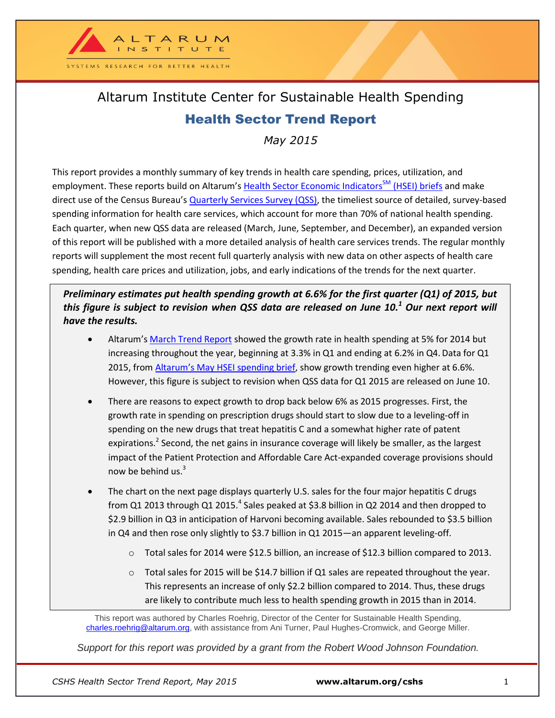

## Altarum Institute Center for Sustainable Health Spending Health Sector Trend Report

*May 2015*

This report provides a monthly summary of key trends in health care spending, prices, utilization, and employment. These reports build on Altarum's [Health Sector Economic Indicators](http://altarum.org/our-work/cshs-health-sector-economic-indicators-briefs)<sup>SM</sup> (HSEI) briefs and make direct use of the Census Bureau's [Quarterly Services Survey \(QSS\),](https://www.census.gov/services/) the timeliest source of detailed, survey-based spending information for health care services, which account for more than 70% of national health spending. Each quarter, when new QSS data are released (March, June, September, and December), an expanded version of this report will be published with a more detailed analysis of health care services trends. The regular monthly reports will supplement the most recent full quarterly analysis with new data on other aspects of health care spending, health care prices and utilization, jobs, and early indications of the trends for the next quarter.

*Preliminary estimates put health spending growth at 6.6% for the first quarter (Q1) of 2015, but this figure is subject to revision when QSS data are released on June 10. <sup>1</sup> Our next report will have the results.*

- Altarum's [March Trend Report](http://altarum.org/publications/health-sector-trend-report-march-2015) showed the growth rate in health spending at 5% for 2014 but increasing throughout the year, beginning at 3.3% in Q1 and ending at 6.2% in Q4. Data for Q1 2015, from Altarum's [May HSEI spending brief,](http://altarum.org/sites/default/files/uploaded-related-files/CSHS-Spending-Brief_May_2015.pdf) show growth trending even higher at 6.6%. However, this figure is subject to revision when QSS data for Q1 2015 are released on June 10.
- There are reasons to expect growth to drop back below 6% as 2015 progresses. First, the growth rate in spending on prescription drugs should start to slow due to a leveling-off in spending on the new drugs that treat hepatitis C and a somewhat higher rate of patent expirations.<sup>2</sup> Second, the net gains in insurance coverage will likely be smaller, as the largest impact of the Patient Protection and Affordable Care Act-expanded coverage provisions should now be behind us. $3$
- The chart on the next page displays quarterly U.S. sales for the four major hepatitis C drugs from Q1 2013 through Q1 2015. $^4$  Sales peaked at \$3.8 billion in Q2 2014 and then dropped to \$2.9 billion in Q3 in anticipation of Harvoni becoming available. Sales rebounded to \$3.5 billion in Q4 and then rose only slightly to \$3.7 billion in Q1 2015—an apparent leveling-off.
	- o Total sales for 2014 were \$12.5 billion, an increase of \$12.3 billion compared to 2013.
	- o Total sales for 2015 will be \$14.7 billion if Q1 sales are repeated throughout the year. This represents an increase of only \$2.2 billion compared to 2014. Thus, these drugs are likely to contribute much less to health spending growth in 2015 than in 2014.

This report was authored by Charles Roehrig, Director of the Center for Sustainable Health Spending, [charles.roehrig@altarum.org,](mailto:charles.roehrig@altarum.org) with assistance from Ani Turner, Paul Hughes-Cromwick, and George Miller.

*Support for this report was provided by a grant from the Robert Wood Johnson Foundation.*